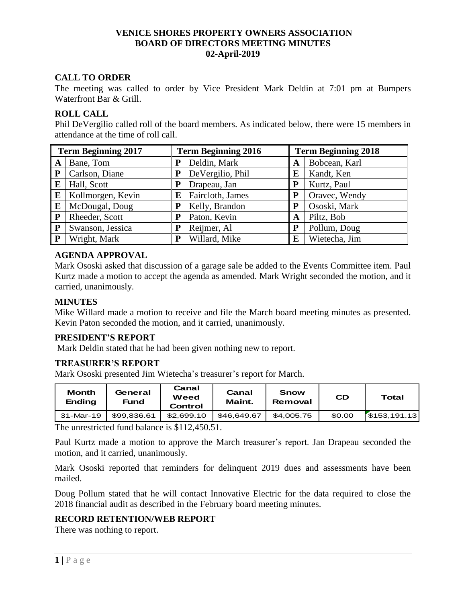## **VENICE SHORES PROPERTY OWNERS ASSOCIATION BOARD OF DIRECTORS MEETING MINUTES 02-April-2019**

# **CALL TO ORDER**

The meeting was called to order by Vice President Mark Deldin at 7:01 pm at Bumpers Waterfront Bar & Grill.

### **ROLL CALL**

Phil DeVergilio called roll of the board members. As indicated below, there were 15 members in attendance at the time of roll call.

| <b>Term Beginning 2017</b> |                   | <b>Term Beginning 2016</b> |                  | <b>Term Beginning 2018</b> |               |  |
|----------------------------|-------------------|----------------------------|------------------|----------------------------|---------------|--|
| A                          | Bane, Tom         | P                          | Deldin, Mark     | A                          | Bobcean, Karl |  |
| P                          | Carlson, Diane    | P                          | DeVergilio, Phil | E                          | Kandt, Ken    |  |
| E                          | Hall, Scott       | P                          | Drapeau, Jan     | P                          | Kurtz, Paul   |  |
| E                          | Kollmorgen, Kevin | E                          | Faircloth, James |                            | Oravec, Wendy |  |
| E                          | McDougal, Doug    | Р                          | Kelly, Brandon   |                            | Ososki, Mark  |  |
| P                          | Rheeder, Scott    | P                          | Paton, Kevin     | A                          | Piltz, Bob    |  |
| ${\bf P}$                  | Swanson, Jessica  | P                          | Reijmer, Al      | P                          | Pollum, Doug  |  |
| P                          | Wright, Mark      | P                          | Willard, Mike    | E                          | Wietecha, Jim |  |

### **AGENDA APPROVAL**

Mark Ososki asked that discussion of a garage sale be added to the Events Committee item. Paul Kurtz made a motion to accept the agenda as amended. Mark Wright seconded the motion, and it carried, unanimously.

## **MINUTES**

Mike Willard made a motion to receive and file the March board meeting minutes as presented. Kevin Paton seconded the motion, and it carried, unanimously.

#### **PRESIDENT'S REPORT**

Mark Deldin stated that he had been given nothing new to report.

#### **TREASURER'S REPORT**

Mark Ososki presented Jim Wietecha's treasurer's report for March.

| <b>Month</b><br><b>Ending</b> | General<br>Fund | Canal<br>Weed<br>Control | Canal<br>Maint. | Snow<br>Removal | <b>CD</b> | Total       |
|-------------------------------|-----------------|--------------------------|-----------------|-----------------|-----------|-------------|
| 31-Mar-19                     | \$99.836.61     | \$2.699.10               | \$46.649.67     | \$4,005.75      | \$0.00    | 5153,191.13 |

The unrestricted fund balance is \$112,450.51.

Paul Kurtz made a motion to approve the March treasurer's report. Jan Drapeau seconded the motion, and it carried, unanimously.

Mark Ososki reported that reminders for delinquent 2019 dues and assessments have been mailed.

Doug Pollum stated that he will contact Innovative Electric for the data required to close the 2018 financial audit as described in the February board meeting minutes.

### **RECORD RETENTION/WEB REPORT**

There was nothing to report.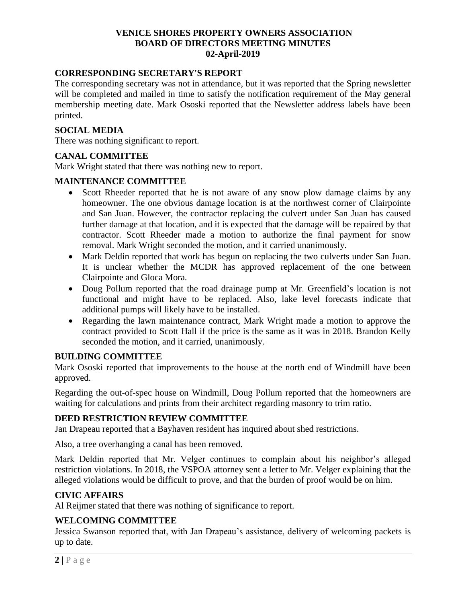## **VENICE SHORES PROPERTY OWNERS ASSOCIATION BOARD OF DIRECTORS MEETING MINUTES 02-April-2019**

## **CORRESPONDING SECRETARY'S REPORT**

The corresponding secretary was not in attendance, but it was reported that the Spring newsletter will be completed and mailed in time to satisfy the notification requirement of the May general membership meeting date. Mark Ososki reported that the Newsletter address labels have been printed.

## **SOCIAL MEDIA**

There was nothing significant to report.

# **CANAL COMMITTEE**

Mark Wright stated that there was nothing new to report.

### **MAINTENANCE COMMITTEE**

- Scott Rheeder reported that he is not aware of any snow plow damage claims by any homeowner. The one obvious damage location is at the northwest corner of Clairpointe and San Juan. However, the contractor replacing the culvert under San Juan has caused further damage at that location, and it is expected that the damage will be repaired by that contractor. Scott Rheeder made a motion to authorize the final payment for snow removal. Mark Wright seconded the motion, and it carried unanimously.
- Mark Deldin reported that work has begun on replacing the two culverts under San Juan. It is unclear whether the MCDR has approved replacement of the one between Clairpointe and Gloca Mora.
- Doug Pollum reported that the road drainage pump at Mr. Greenfield's location is not functional and might have to be replaced. Also, lake level forecasts indicate that additional pumps will likely have to be installed.
- Regarding the lawn maintenance contract, Mark Wright made a motion to approve the contract provided to Scott Hall if the price is the same as it was in 2018. Brandon Kelly seconded the motion, and it carried, unanimously.

## **BUILDING COMMITTEE**

Mark Ososki reported that improvements to the house at the north end of Windmill have been approved.

Regarding the out-of-spec house on Windmill, Doug Pollum reported that the homeowners are waiting for calculations and prints from their architect regarding masonry to trim ratio.

### **DEED RESTRICTION REVIEW COMMITTEE**

Jan Drapeau reported that a Bayhaven resident has inquired about shed restrictions.

Also, a tree overhanging a canal has been removed.

Mark Deldin reported that Mr. Velger continues to complain about his neighbor's alleged restriction violations. In 2018, the VSPOA attorney sent a letter to Mr. Velger explaining that the alleged violations would be difficult to prove, and that the burden of proof would be on him.

### **CIVIC AFFAIRS**

Al Reijmer stated that there was nothing of significance to report.

### **WELCOMING COMMITTEE**

Jessica Swanson reported that, with Jan Drapeau's assistance, delivery of welcoming packets is up to date.